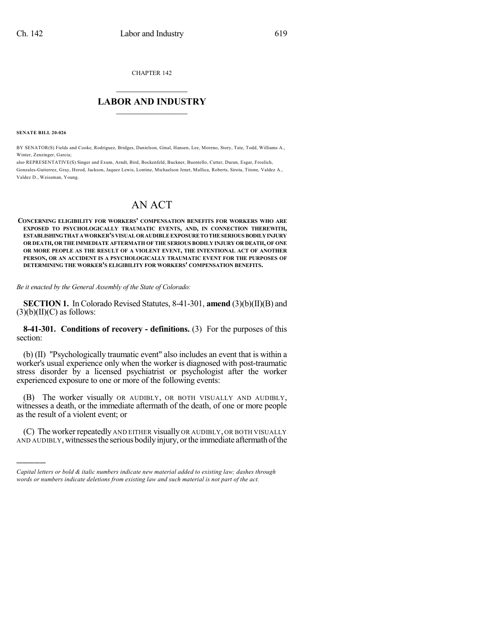CHAPTER 142

## $\mathcal{L}_\text{max}$  . The set of the set of the set of the set of the set of the set of the set of the set of the set of the set of the set of the set of the set of the set of the set of the set of the set of the set of the set **LABOR AND INDUSTRY**  $\frac{1}{\sqrt{2}}$  ,  $\frac{1}{\sqrt{2}}$  ,  $\frac{1}{\sqrt{2}}$  ,  $\frac{1}{\sqrt{2}}$  ,  $\frac{1}{\sqrt{2}}$  ,  $\frac{1}{\sqrt{2}}$

**SENATE BILL 20-026**

)))))

BY SENATOR(S) Fields and Cooke, Rodriguez, Bridges, Danielson, Ginal, Hansen, Lee, Moreno, Story, Tate, Todd, Williams A., Winter, Zenzinger, Garcia;

also REPRESENTATIVE(S) Singer and Exum, Arndt, Bird, Bockenfeld, Buckner, Buentello, Cutter, Duran, Esgar, Froelich, Gonzales-Gutierrez, Gray, Herod, Jackson, Jaquez Lewis, Lontine, Michaelson Jenet, Mullica, Roberts, Sirota, Titone, Valdez A., Valdez D., Weissman, Young.

## AN ACT

**CONCERNING ELIGIBILITY FOR WORKERS' COMPENSATION BENEFITS FOR WORKERS WHO ARE EXPOSED TO PSYCHOLOGICALLY TRAUMATIC EVENTS, AND, IN CONNECTION THEREWITH, ESTABLISHINGTHATAWORKER'S VISUALORAUDIBLEEXPOSURETOTHESERIOUS BODILYINJURY OR DEATH, OR THE IMMEDIATE AFTERMATH OF THE SERIOUS BODILY INJURY OR DEATH, OF ONE OR MORE PEOPLE AS THE RESULT OF A VIOLENT EVENT, THE INTENTIONAL ACT OF ANOTHER PERSON, OR AN ACCIDENT IS A PSYCHOLOGICALLY TRAUMATIC EVENT FOR THE PURPOSES OF DETERMINING THE WORKER'S ELIGIBILITY FOR WORKERS' COMPENSATION BENEFITS.**

## *Be it enacted by the General Assembly of the State of Colorado:*

**SECTION 1.** In Colorado Revised Statutes, 8-41-301, **amend** (3)(b)(II)(B) and  $(3)(b)(II)(C)$  as follows:

**8-41-301. Conditions of recovery - definitions.** (3) For the purposes of this section:

(b) (II) "Psychologically traumatic event" also includes an event that is within a worker's usual experience only when the worker is diagnosed with post-traumatic stress disorder by a licensed psychiatrist or psychologist after the worker experienced exposure to one or more of the following events:

(B) The worker visually OR AUDIBLY, OR BOTH VISUALLY AND AUDIBLY, witnesses a death, or the immediate aftermath of the death, of one or more people as the result of a violent event; or

(C) The worker repeatedly AND EITHER visually OR AUDIBLY, OR BOTH VISUALLY AND AUDIBLY, witnesses the serious bodily injury, or the immediate aftermath of the

*Capital letters or bold & italic numbers indicate new material added to existing law; dashes through words or numbers indicate deletions from existing law and such material is not part of the act.*